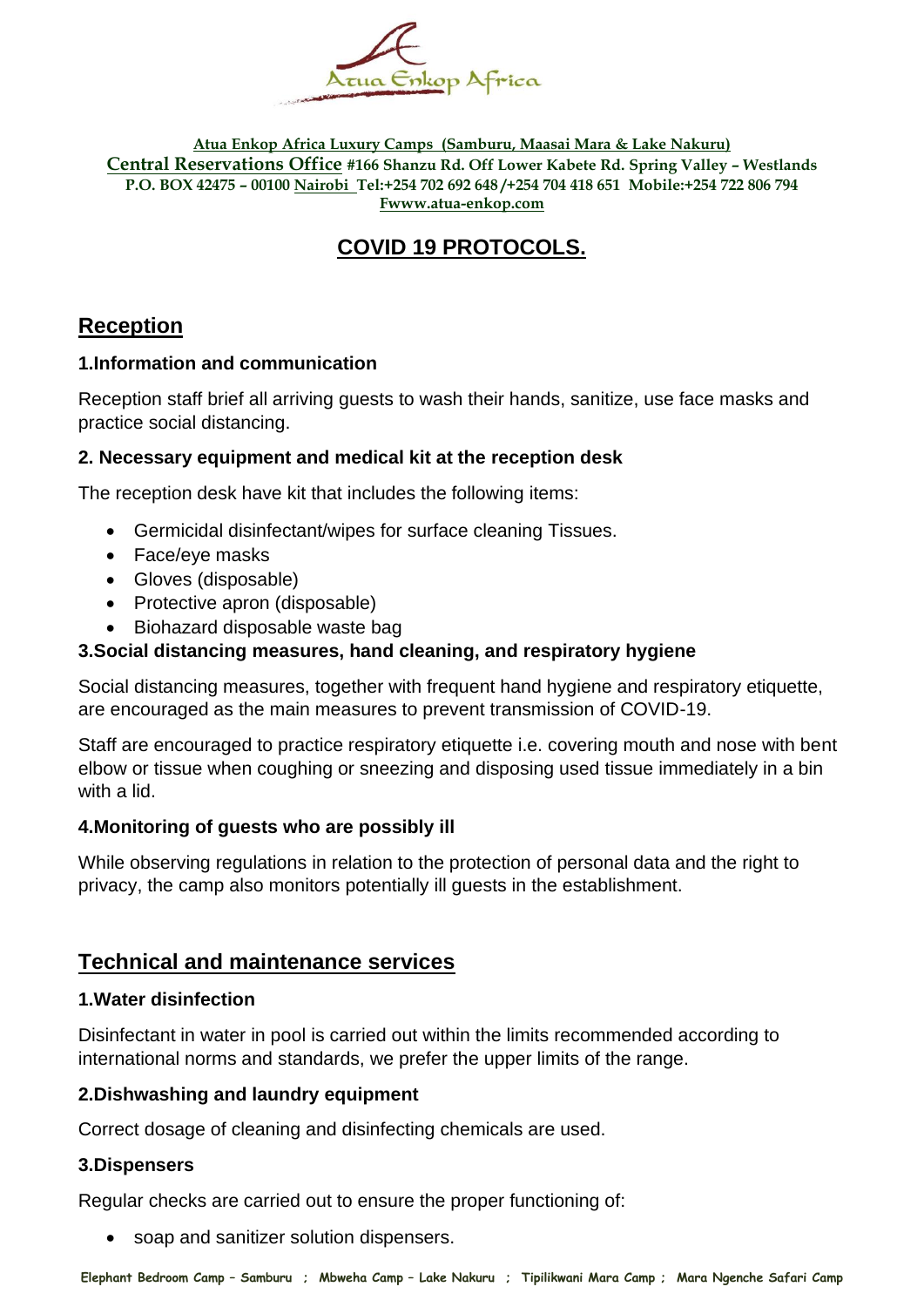

**Atua Enkop Africa Luxury Camps (Samburu, Maasai Mara & Lake Nakuru) Central Reservations Office #166 Shanzu Rd. Off Lower Kabete Rd. Spring Valley – Westlands P.O. BOX 42475 – 00100 Nairobi Tel:+254 702 692 648 /+254 704 418 651 Mobile:+254 722 806 794 Fwww.atua-enkop.com**

# **COVID 19 PROTOCOLS.**

# **Reception**

## **1.Information and communication**

Reception staff brief all arriving guests to wash their hands, sanitize, use face masks and practice social distancing.

### **2. Necessary equipment and medical kit at the reception desk**

The reception desk have kit that includes the following items:

- Germicidal disinfectant/wipes for surface cleaning Tissues.
- Face/eye masks
- Gloves (disposable)
- Protective apron (disposable)
- Biohazard disposable waste bag

# **3.Social distancing measures, hand cleaning, and respiratory hygiene**

Social distancing measures, together with frequent hand hygiene and respiratory etiquette, are encouraged as the main measures to prevent transmission of COVID-19.

Staff are encouraged to practice respiratory etiquette i.e. covering mouth and nose with bent elbow or tissue when coughing or sneezing and disposing used tissue immediately in a bin with a lid.

### **4.Monitoring of guests who are possibly ill**

While observing regulations in relation to the protection of personal data and the right to privacy, the camp also monitors potentially ill guests in the establishment.

# **Technical and maintenance services**

### **1.Water disinfection**

Disinfectant in water in pool is carried out within the limits recommended according to international norms and standards, we prefer the upper limits of the range.

### **2.Dishwashing and laundry equipment**

Correct dosage of cleaning and disinfecting chemicals are used.

### **3.Dispensers**

Regular checks are carried out to ensure the proper functioning of:

• soap and sanitizer solution dispensers.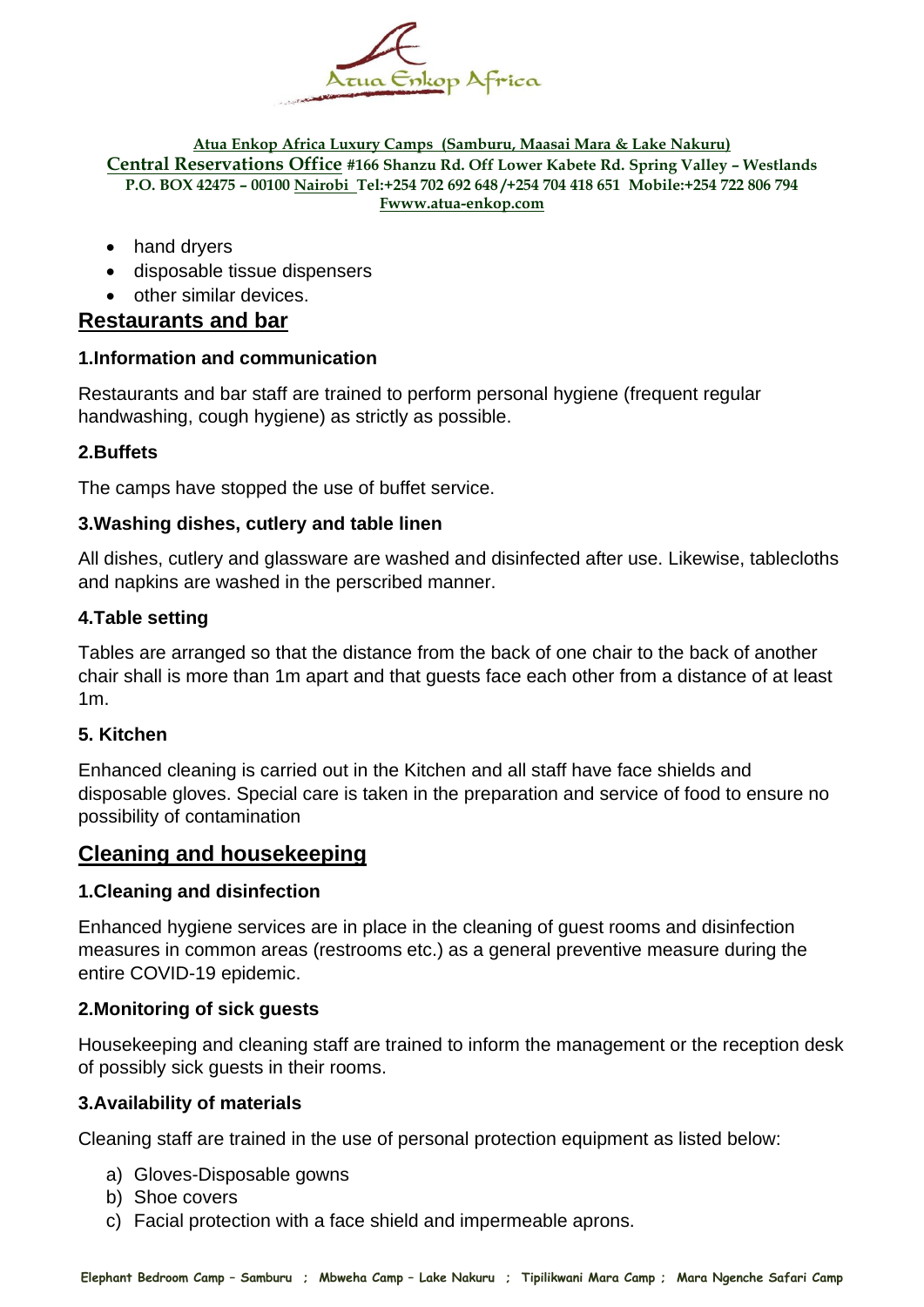

#### **Atua Enkop Africa Luxury Camps (Samburu, Maasai Mara & Lake Nakuru) Central Reservations Office #166 Shanzu Rd. Off Lower Kabete Rd. Spring Valley – Westlands P.O. BOX 42475 – 00100 Nairobi Tel:+254 702 692 648 /+254 704 418 651 Mobile:+254 722 806 794 Fwww.atua-enkop.com**

- hand dryers
- disposable tissue dispensers
- other similar devices.

### **Restaurants and bar**

#### **1.Information and communication**

Restaurants and bar staff are trained to perform personal hygiene (frequent regular handwashing, cough hygiene) as strictly as possible.

#### **2.Buffets**

The camps have stopped the use of buffet service.

#### **3.Washing dishes, cutlery and table linen**

All dishes, cutlery and glassware are washed and disinfected after use. Likewise, tablecloths and napkins are washed in the perscribed manner.

#### **4.Table setting**

Tables are arranged so that the distance from the back of one chair to the back of another chair shall is more than 1m apart and that guests face each other from a distance of at least 1m.

#### **5. Kitchen**

Enhanced cleaning is carried out in the Kitchen and all staff have face shields and disposable gloves. Special care is taken in the preparation and service of food to ensure no possibility of contamination

# **Cleaning and housekeeping**

#### **1.Cleaning and disinfection**

Enhanced hygiene services are in place in the cleaning of guest rooms and disinfection measures in common areas (restrooms etc.) as a general preventive measure during the entire COVID-19 epidemic.

#### **2.Monitoring of sick guests**

Housekeeping and cleaning staff are trained to inform the management or the reception desk of possibly sick guests in their rooms.

#### **3.Availability of materials**

Cleaning staff are trained in the use of personal protection equipment as listed below:

- a) Gloves-Disposable gowns
- b) Shoe covers
- c) Facial protection with a face shield and impermeable aprons.